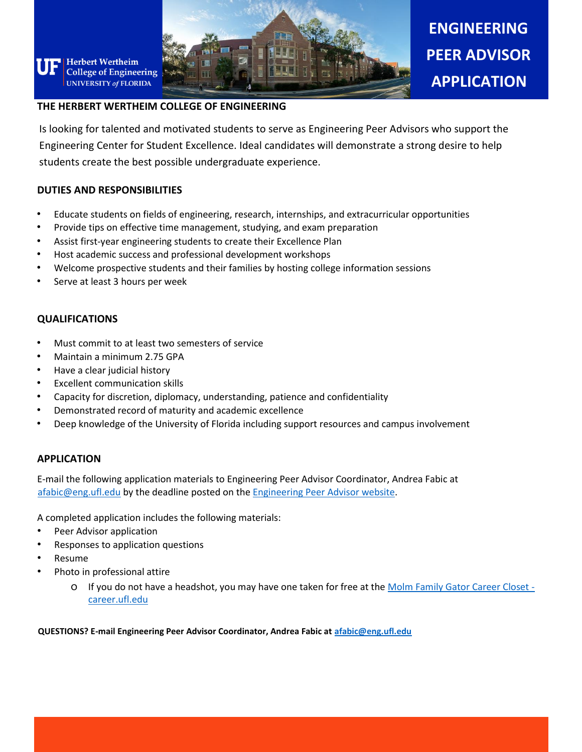

# **ENGINEERING PEER ADVISOR APPLICATION**

#### **THE HERBERT WERTHEIM COLLEGE OF ENGINEERING**

Is looking for talented and motivated students to serve as Engineering Peer Advisors who support the Engineering Center for Student Excellence. Ideal candidates will demonstrate a strong desire to help students create the best possible undergraduate experience.

#### **DUTIES AND RESPONSIBILITIES**

**Herbert Wertheim** 

- Educate students on fields of engineering, research, internships, and extracurricular opportunities
- Provide tips on effective time management, studying, and exam preparation
- Assist first-year engineering students to create their Excellence Plan
- Host academic success and professional development workshops
- Welcome prospective students and their families by hosting college information sessions
- Serve at least 3 hours per week

## **QUALIFICATIONS**

- Must commit to at least two semesters of service
- Maintain a minimum 2.75 GPA
- Have a clear judicial history
- Excellent communication skills
- Capacity for discretion, diplomacy, understanding, patience and confidentiality
- Demonstrated record of maturity and academic excellence
- Deep knowledge of the University of Florida including support resources and campus involvement

## **APPLICATION**

E-mail the following application materials to Engineering Peer Advisor Coordinator, Andrea Fabic at [afabic@eng.ufl.edu](mailto:afabic@eng.ufl.edu) by the deadline posted on the [Engineering Peer Advisor website.](https://www.eng.ufl.edu/students/advising/peer-advisors/)

A completed application includes the following materials:

- Peer Advisor application
- Responses to application questions
- Resume
- Photo in professional attire
	- o If you do not have a headshot, you may have one taken for free at the [Molm Family Gator Career Closet](https://career.ufl.edu/services-resources/molm-family-gator-career-closet/)  [career.ufl.edu](https://career.ufl.edu/services-resources/molm-family-gator-career-closet/)

**QUESTIONS? E-mail Engineering Peer Advisor Coordinator, Andrea Fabic at [afabic@eng.ufl.edu](mailto:afabic@eng.ufl.edu)**